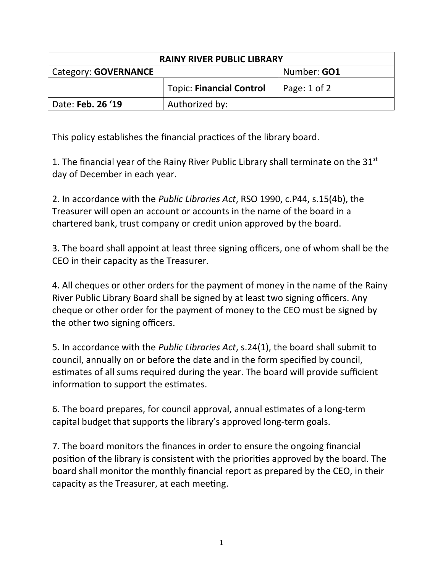| <b>RAINY RIVER PUBLIC LIBRARY</b> |                                 |                    |  |
|-----------------------------------|---------------------------------|--------------------|--|
| Category: GOVERNANCE              |                                 | Number: <b>GO1</b> |  |
|                                   | <b>Topic: Financial Control</b> | Page: 1 of 2       |  |
| Date: Feb. 26 '19                 | Authorized by:                  |                    |  |

This policy establishes the financial practices of the library board.

1. The financial year of the Rainy River Public Library shall terminate on the  $31<sup>st</sup>$ day of December in each year.

2. In accordance with the *Public Libraries Act*, RSO 1990, c.P44, s.15(4b), the Treasurer will open an account or accounts in the name of the board in a chartered bank, trust company or credit union approved by the board.

3. The board shall appoint at least three signing officers, one of whom shall be the CEO in their capacity as the Treasurer.

4. All cheques or other orders for the payment of money in the name of the Rainy River Public Library Board shall be signed by at least two signing officers. Any cheque or other order for the payment of money to the CEO must be signed by the other two signing officers.

5. In accordance with the *Public Libraries Act*, s.24(1), the board shall submit to council, annually on or before the date and in the form specified by council, estimates of all sums required during the year. The board will provide sufficient information to support the estimates.

6. The board prepares, for council approval, annual estimates of a long-term capital budget that supports the library's approved long-term goals.

7. The board monitors the finances in order to ensure the ongoing financial position of the library is consistent with the priorities approved by the board. The board shall monitor the monthly financial report as prepared by the CEO, in their capacity as the Treasurer, at each meeting.